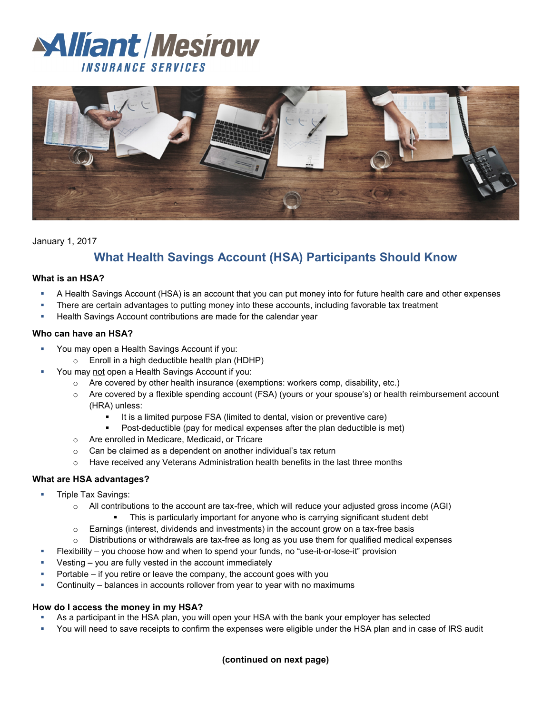



## January 1, 2017

# **What Health Savings Account (HSA) Participants Should Know**

### **What is an HSA?**

- A Health Savings Account (HSA) is an account that you can put money into for future health care and other expenses
- There are certain advantages to putting money into these accounts, including favorable tax treatment
- Health Savings Account contributions are made for the calendar year

#### **Who can have an HSA?**

- You may open a Health Savings Account if you:
	- $\circ$  Enroll in a high deductible health plan (HDHP)
- You may not open a Health Savings Account if you:
	- $\circ$  Are covered by other health insurance (exemptions: workers comp, disability, etc.)
	- o Are covered by a flexible spending account (FSA) (yours or your spouse's) or health reimbursement account (HRA) unless:
		- It is a limited purpose FSA (limited to dental, vision or preventive care)
		- Post-deductible (pay for medical expenses after the plan deductible is met)
	- o Are enrolled in Medicare, Medicaid, or Tricare
	- o Can be claimed as a dependent on another individual's tax return
	- o Have received any Veterans Administration health benefits in the last three months

### **What are HSA advantages?**

- Triple Tax Savings:
	- $\circ$  All contributions to the account are tax-free, which will reduce your adjusted gross income (AGI)
		- This is particularly important for anyone who is carrying significant student debt
	- $\circ$  Earnings (interest, dividends and investments) in the account grow on a tax-free basis
	- $\circ$  Distributions or withdrawals are tax-free as long as you use them for qualified medical expenses
- Flexibility you choose how and when to spend your funds, no "use-it-or-lose-it" provision
- Vesting you are fully vested in the account immediately
- Portable if you retire or leave the company, the account goes with you
- Continuity balances in accounts rollover from year to year with no maximums

### **How do I access the money in my HSA?**

- As a participant in the HSA plan, you will open your HSA with the bank your employer has selected
- You will need to save receipts to confirm the expenses were eligible under the HSA plan and in case of IRS audit

## **(continued on next page)**